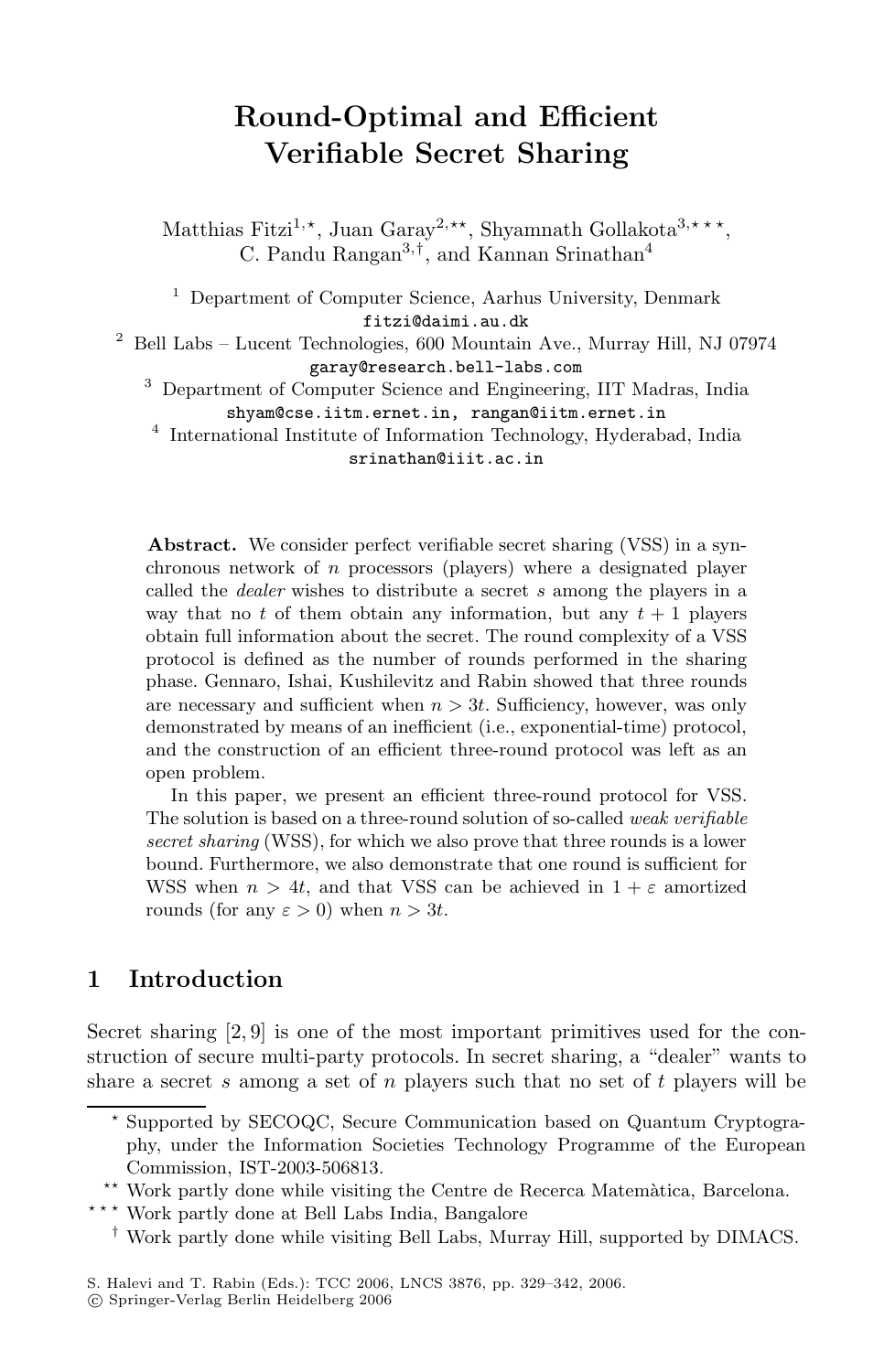# **Round-Optimal and Efficient Verifiable Secret Sharing**

Matthias Fitzi<sup>1,\*</sup>, Juan Garay<sup>2,\*\*</sup>, Shyamnath Gollakota<sup>3,\*\*\*</sup>, C. Pandu Rangan<sup>3</sup>,†, and Kannan Srinathan<sup>4</sup>

<sup>1</sup> Department of Computer Science, Aarhus University, Denmark fitzi@daimi.au.dk

 $^2\,$  Bell Labs – Lucent Technologies, 600 Mountain Ave., Murray Hill, NJ 07974 garay@research.bell-labs.com

<sup>3</sup> Department of Computer Science and Engineering, IIT Madras, India shyam@cse.iitm.ernet.in, rangan@iitm.ernet.in

<sup>4</sup> International Institute of Information Technology, Hyderabad, India srinathan@iiit.ac.in

**Abstract.** We consider perfect verifiable secret sharing (VSS) in a synchronous network of n processors (players) where a designated player called the dealer wishes to distribute a secret s among the players in a way that no t of them obtain any information, but any  $t + 1$  players obtain full information about the secret. The round complexity of a VSS protocol is defined as the number of rounds performed in the sharing phase. Gennaro, Ishai, Kushilevitz and Rabin showed that three rounds are necessary and sufficient when  $n > 3t$ . Sufficiency, however, was only demonstrated by means of an inefficient (i.e., exponential-time) protocol, and the construction of an efficient three-round protocol was left as an open problem.

In this paper, we present an efficient three-round protocol for VSS. The solution is based on a three-round solution of so-called weak verifiable secret sharing (WSS), for which we also prove that three rounds is a lower bound. Furthermore, we also demonstrate that one round is sufficient for WSS when  $n > 4t$ , and that VSS can be achieved in  $1 + \varepsilon$  amortized rounds (for any  $\varepsilon > 0$ ) when  $n > 3t$ .

## **1 Introduction**

Secret sharing [2, 9] is one of the most important primitives used for the construction of secure multi-party protocols. In secret sharing, a "dealer" wants to share a secret s among a set of n players such that no set of t players will be

<sup>-</sup> Supported by SECOQC, Secure Communication based on Quantum Cryptography, under the Information Societies Technology Programme of the European Commission, IST-2003-506813.

<sup>\*\*</sup> Work partly done while visiting the Centre de Recerca Matemàtica, Barcelona.

<sup>\*\*</sup> Work partly done at Bell Labs India, Bangalore

<sup>†</sup> Work partly done while visiting Bell Labs, Murray Hill, supported by DIMACS.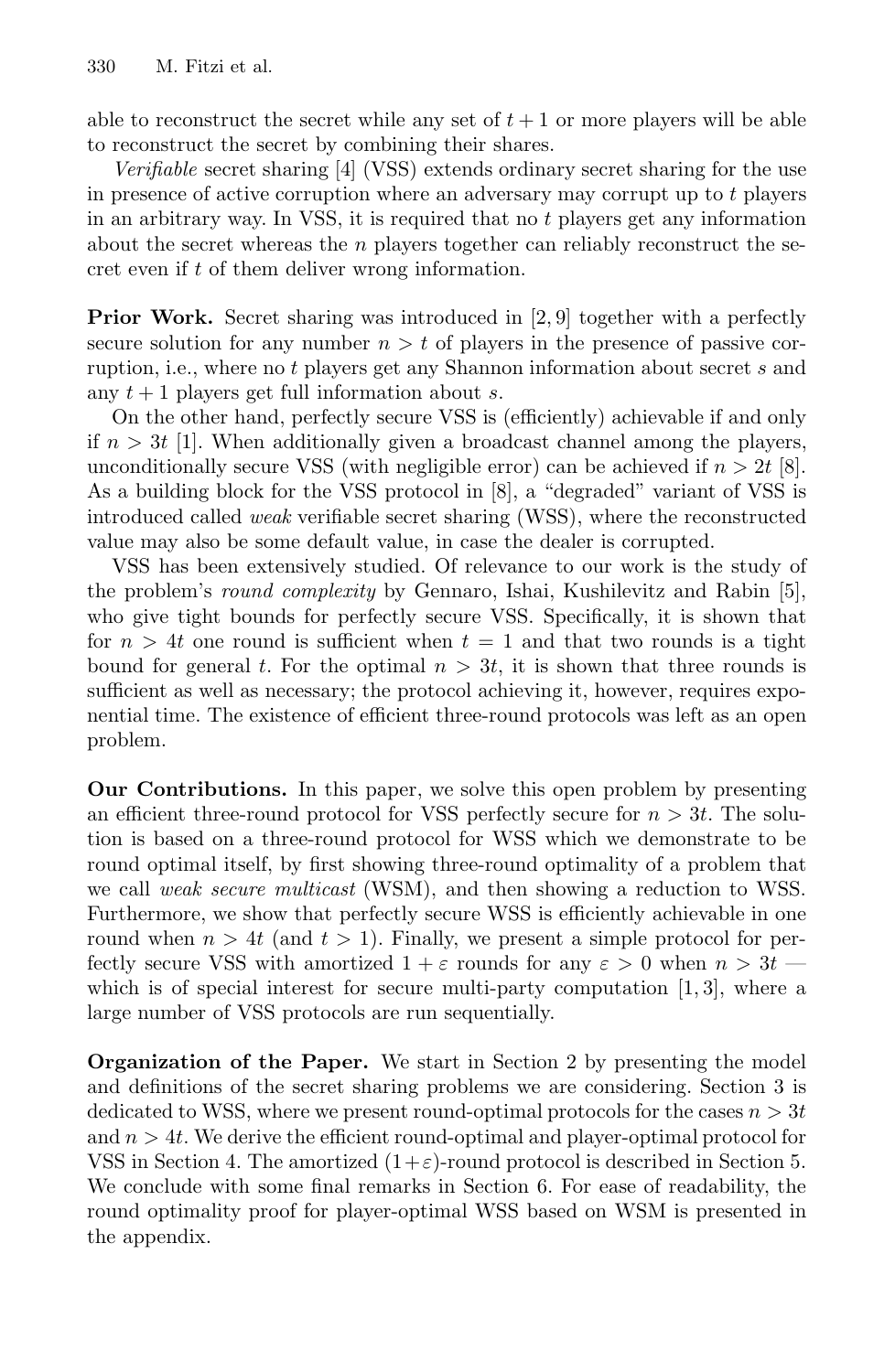able to reconstruct the secret while any set of  $t + 1$  or more players will be able to reconstruct the secret by combining their shares.

*Verifiable* secret sharing [4] (VSS) extends ordinary secret sharing for the use in presence of active corruption where an adversary may corrupt up to t players in an arbitrary way. In VSS, it is required that no  $t$  players get any information about the secret whereas the  $n$  players together can reliably reconstruct the secret even if t of them deliver wrong information.

**Prior Work.** Secret sharing was introduced in [2, 9] together with a perfectly secure solution for any number  $n > t$  of players in the presence of passive corruption, i.e., where no t players get any Shannon information about secret s and any  $t + 1$  players get full information about s.

On the other hand, perfectly secure VSS is (efficiently) achievable if and only if  $n > 3t$  [1]. When additionally given a broadcast channel among the players, unconditionally secure VSS (with negligible error) can be achieved if  $n > 2t$  [8]. As a building block for the VSS protocol in [8], a "degraded" variant of VSS is introduced called *weak* verifiable secret sharing (WSS), where the reconstructed value may also be some default value, in case the dealer is corrupted.

VSS has been extensively studied. Of relevance to our work is the study of the problem's *round complexity* by Gennaro, Ishai, Kushilevitz and Rabin [5], who give tight bounds for perfectly secure VSS. Specifically, it is shown that for  $n > 4t$  one round is sufficient when  $t = 1$  and that two rounds is a tight bound for general t. For the optimal  $n > 3t$ , it is shown that three rounds is sufficient as well as necessary; the protocol achieving it, however, requires exponential time. The existence of efficient three-round protocols was left as an open problem.

**Our Contributions.** In this paper, we solve this open problem by presenting an efficient three-round protocol for VSS perfectly secure for  $n > 3t$ . The solution is based on a three-round protocol for WSS which we demonstrate to be round optimal itself, by first showing three-round optimality of a problem that we call *weak secure multicast* (WSM), and then showing a reduction to WSS. Furthermore, we show that perfectly secure WSS is efficiently achievable in one round when  $n > 4t$  (and  $t > 1$ ). Finally, we present a simple protocol for perfectly secure VSS with amortized  $1 + \varepsilon$  rounds for any  $\varepsilon > 0$  when  $n > 3t$ which is of special interest for secure multi-party computation  $[1, 3]$ , where a large number of VSS protocols are run sequentially.

**Organization of the Paper.** We start in Section 2 by presenting the model and definitions of the secret sharing problems we are considering. Section 3 is dedicated to WSS, where we present round-optimal protocols for the cases  $n > 3t$ and  $n > 4t$ . We derive the efficient round-optimal and player-optimal protocol for VSS in Section 4. The amortized  $(1+\varepsilon)$ -round protocol is described in Section 5. We conclude with some final remarks in Section 6. For ease of readability, the round optimality proof for player-optimal WSS based on WSM is presented in the appendix.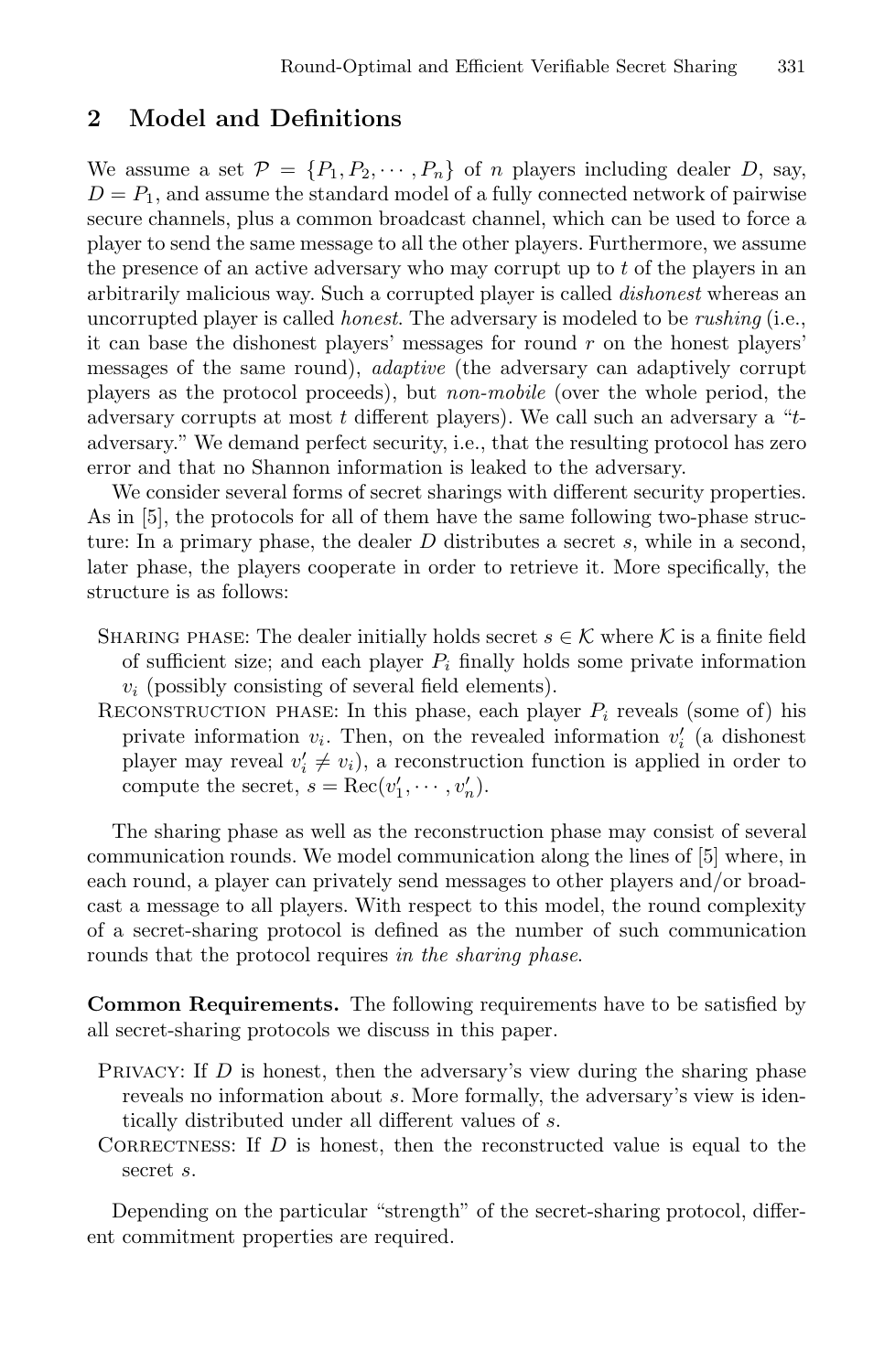#### **2 Model and Definitions**

We assume a set  $\mathcal{P} = \{P_1, P_2, \cdots, P_n\}$  of *n* players including dealer *D*, say,  $D = P_1$ , and assume the standard model of a fully connected network of pairwise secure channels, plus a common broadcast channel, which can be used to force a player to send the same message to all the other players. Furthermore, we assume the presence of an active adversary who may corrupt up to  $t$  of the players in an arbitrarily malicious way. Such a corrupted player is called *dishonest* whereas an uncorrupted player is called *honest*. The adversary is modeled to be *rushing* (i.e., it can base the dishonest players' messages for round  $r$  on the honest players' messages of the same round), *adaptive* (the adversary can adaptively corrupt players as the protocol proceeds), but *non-mobile* (over the whole period, the adversary corrupts at most  $t$  different players). We call such an adversary a " $t$ adversary." We demand perfect security, i.e., that the resulting protocol has zero error and that no Shannon information is leaked to the adversary.

We consider several forms of secret sharings with different security properties. As in [5], the protocols for all of them have the same following two-phase structure: In a primary phase, the dealer  $D$  distributes a secret  $s$ , while in a second, later phase, the players cooperate in order to retrieve it. More specifically, the structure is as follows:

- SHARING PHASE: The dealer initially holds secret  $s \in \mathcal{K}$  where  $\mathcal{K}$  is a finite field of sufficient size; and each player  $P_i$  finally holds some private information  $v_i$  (possibly consisting of several field elements).
- RECONSTRUCTION PHASE: In this phase, each player  $P_i$  reveals (some of) his private information  $v_i$ . Then, on the revealed information  $v'_i$  (a dishonest player may reveal  $v'_i \neq v_i$ , a reconstruction function is applied in order to compute the secret,  $s = \text{Rec}(v'_1, \dots, v'_n)$ .

The sharing phase as well as the reconstruction phase may consist of several communication rounds. We model communication along the lines of [5] where, in each round, a player can privately send messages to other players and/or broadcast a message to all players. With respect to this model, the round complexity of a secret-sharing protocol is defined as the number of such communication rounds that the protocol requires *in the sharing phase*.

**Common Requirements.** The following requirements have to be satisfied by all secret-sharing protocols we discuss in this paper.

- PRIVACY: If  $D$  is honest, then the adversary's view during the sharing phase reveals no information about s. More formally, the adversary's view is identically distributed under all different values of s.
- CORRECTNESS: If  $D$  is honest, then the reconstructed value is equal to the secret s.

Depending on the particular "strength" of the secret-sharing protocol, different commitment properties are required.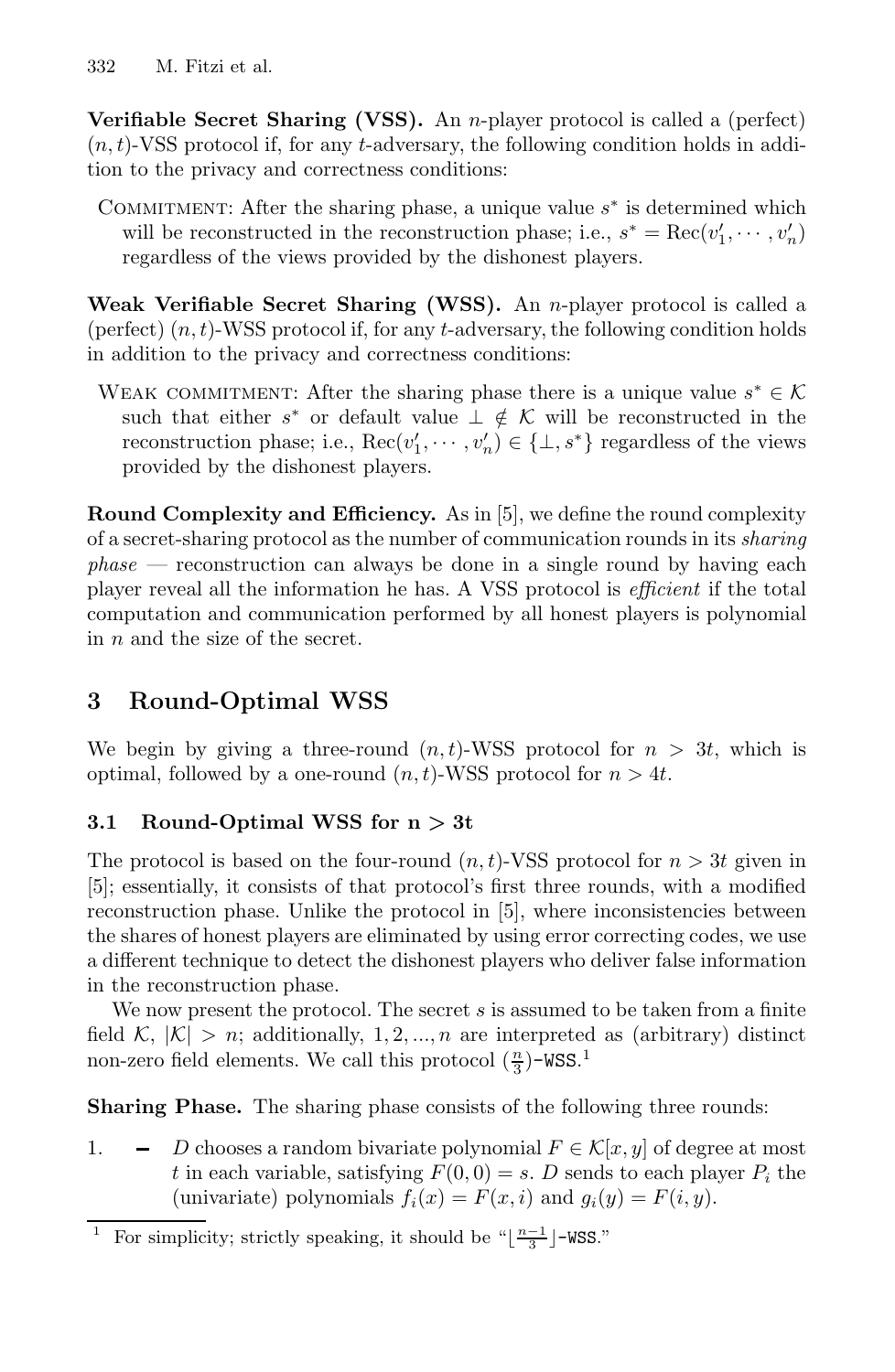**Verifiable Secret Sharing (VSS).** An *n*-player protocol is called a (perfect)  $(n, t)$ -VSS protocol if, for any t-adversary, the following condition holds in addition to the privacy and correctness conditions:

COMMITMENT: After the sharing phase, a unique value  $s^*$  is determined which will be reconstructed in the reconstruction phase; i.e.,  $s^* = \text{Rec}(v'_1, \dots, v'_n)$ regardless of the views provided by the dishonest players.

**Weak Verifiable Secret Sharing (WSS).** An n-player protocol is called a (perfect)  $(n, t)$ -WSS protocol if, for any t-adversary, the following condition holds in addition to the privacy and correctness conditions:

WEAK COMMITMENT: After the sharing phase there is a unique value  $s^* \in \mathcal{K}$ such that either s<sup>\*</sup> or default value  $\perp \notin \mathcal{K}$  will be reconstructed in the reconstruction phase; i.e.,  $\text{Rec}(v'_1, \dots, v'_n) \in \{\bot, s^*\}$  regardless of the views provided by the dishonest players.

**Round Complexity and Efficiency.** As in [5], we define the round complexity of a secret-sharing protocol as the number of communication rounds in its *sharing phase* — reconstruction can always be done in a single round by having each player reveal all the information he has. A VSS protocol is *efficient* if the total computation and communication performed by all honest players is polynomial in n and the size of the secret.

## **3 Round-Optimal WSS**

We begin by giving a three-round  $(n, t)$ -WSS protocol for  $n > 3t$ , which is optimal, followed by a one-round  $(n, t)$ -WSS protocol for  $n > 4t$ .

## **3.1 Round-Optimal WSS for n** *>* **3t**

The protocol is based on the four-round  $(n, t)$ -VSS protocol for  $n > 3t$  given in [5]; essentially, it consists of that protocol's first three rounds, with a modified reconstruction phase. Unlike the protocol in [5], where inconsistencies between the shares of honest players are eliminated by using error correcting codes, we use a different technique to detect the dishonest players who deliver false information in the reconstruction phase.

We now present the protocol. The secret  $s$  is assumed to be taken from a finite field  $\mathcal{K}, |\mathcal{K}| > n$ ; additionally, 1, 2, ..., *n* are interpreted as (arbitrary) distinct non-zero field elements. We call this protocol  $(\frac{n}{3})$ -WSS.<sup>1</sup>

**Sharing Phase.** The sharing phase consists of the following three rounds:

1.  $\blacksquare$  D chooses a random bivariate polynomial  $F \in \mathcal{K}[x, y]$  of degree at most t in each variable, satisfying  $F(0, 0) = s$ . D sends to each player  $P_i$  the (univariate) polynomials  $f_i(x) = F(x, i)$  and  $g_i(y) = F(i, y)$ .

 $^1\;$  For simplicity; strictly speaking, it should be "[  $\frac{n-1}{3}$  ]–WSS."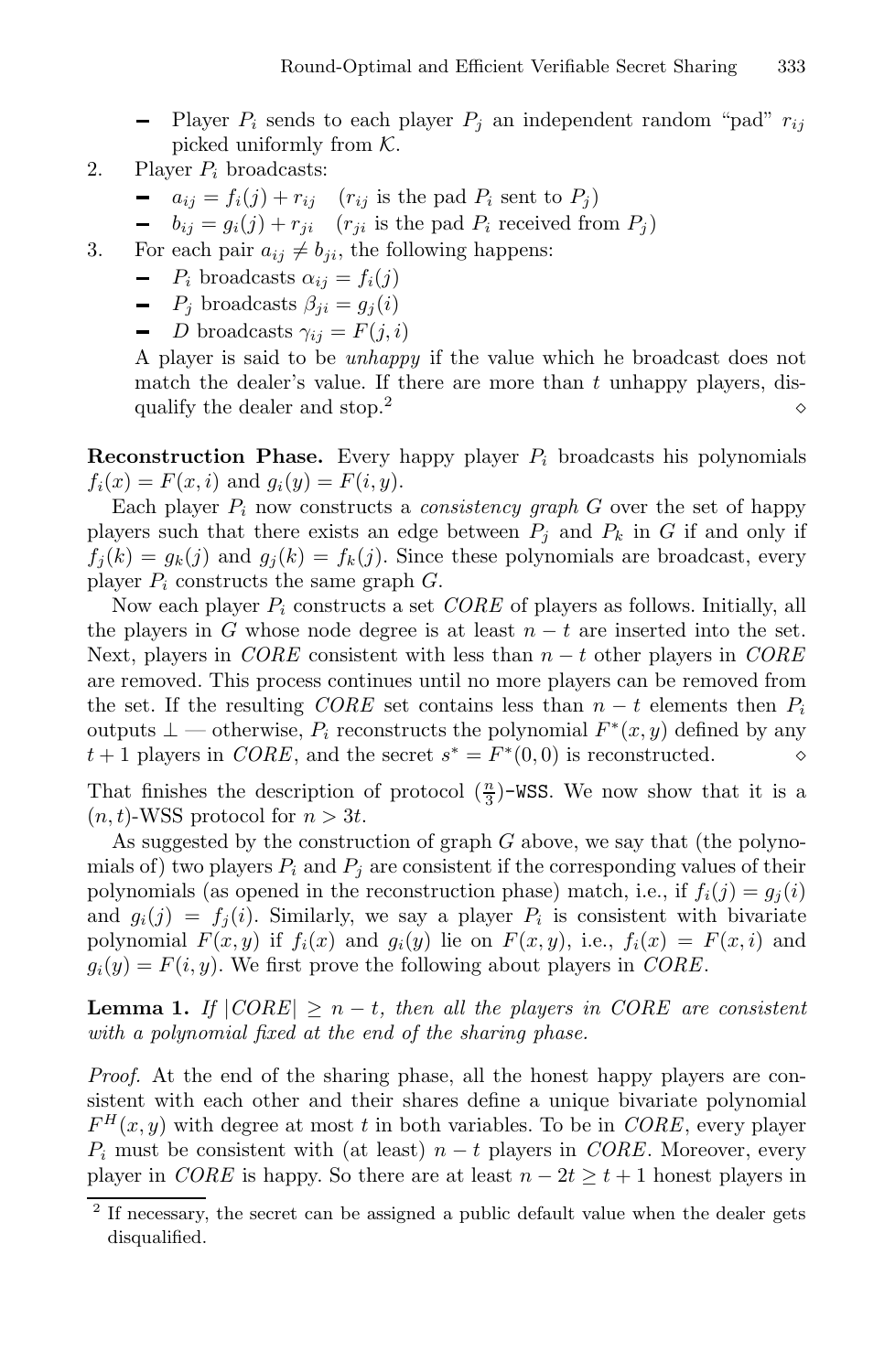- Player  $P_i$  sends to each player  $P_j$  an independent random "pad"  $r_{ij}$ picked uniformly from  $K$ .

- 2. Player  $P_i$  broadcasts:
	- $\bullet$   $a_{ij} = f_i(j) + r_{ij}$   $(r_{ij}$  is the pad  $P_i$  sent to  $P_j$ )
	- $\bullet$   $b_{ij} = g_i(j) + r_{ji}$   $(r_{ji}$  is the pad  $P_i$  received from  $P_j$ )
- 3. For each pair  $a_{ij} \neq b_{ji}$ , the following happens:
	- $-P_i$  broadcasts  $\alpha_{ij} = f_i(j)$
	- $-P_j$  broadcasts  $\beta_{ji} = g_i(i)$
	- D broadcasts  $\gamma_{ij} = F(j, i)$

A player is said to be *unhappy* if the value which he broadcast does not match the dealer's value. If there are more than  $t$  unhappy players, disqualify the dealer and stop.<sup>2</sup>  $\circ$ 

**Reconstruction Phase.** Every happy player  $P_i$  broadcasts his polynomials  $f_i(x) = F(x, i)$  and  $g_i(y) = F(i, y)$ .

Each player  $P_i$  now constructs a *consistency graph*  $G$  over the set of happy players such that there exists an edge between  $P_i$  and  $P_k$  in G if and only if  $f_i(k) = g_k(j)$  and  $g_i(k) = f_k(j)$ . Since these polynomials are broadcast, every player  $P_i$  constructs the same graph  $G$ .

Now each player P<sup>i</sup> constructs a set *CORE* of players as follows. Initially, all the players in G whose node degree is at least  $n - t$  are inserted into the set. Next, players in *CORE* consistent with less than n − t other players in *CORE* are removed. This process continues until no more players can be removed from the set. If the resulting *CORE* set contains less than  $n - t$  elements then  $P_i$ outputs ⊥ — otherwise,  $P_i$  reconstructs the polynomial  $F^*(x, y)$  defined by any  $t+1$  players in  $CORE$ , and the secret  $s^* = F^*(0, 0)$  is reconstructed.  $t + 1$  players in *CORE*, and the secret  $s^* = F^*(0,0)$  is reconstructed.

That finishes the description of protocol  $(\frac{n}{3})$ -WSS. We now show that it is a  $(n, t)$ -WSS protocol for  $n > 3t$ .

As suggested by the construction of graph G above, we say that (the polynomials of) two players  $P_i$  and  $P_j$  are consistent if the corresponding values of their polynomials (as opened in the reconstruction phase) match, i.e., if  $f_i(j) = g_j(i)$ and  $g_i(j) = f_i(i)$ . Similarly, we say a player  $P_i$  is consistent with bivariate polynomial  $F(x, y)$  if  $f_i(x)$  and  $g_i(y)$  lie on  $F(x, y)$ , i.e.,  $f_i(x) = F(x, i)$  and  $g_i(y) = F(i, y)$ . We first prove the following about players in *CORE*.

**Lemma 1.** *If*  $|CORE| \geq n - t$ , then all the players in CORE are consistent *with a polynomial fixed at the end of the sharing phase.*

*Proof.* At the end of the sharing phase, all the honest happy players are consistent with each other and their shares define a unique bivariate polynomial  $F<sup>H</sup>(x, y)$  with degree at most t in both variables. To be in *CORE*, every player  $P_i$  must be consistent with (at least)  $n - t$  players in *CORE*. Moreover, every player in *CORE* is happy. So there are at least  $n - 2t \ge t + 1$  honest players in

 $^{\rm 2}$  If necessary, the secret can be assigned a public default value when the dealer gets disqualified.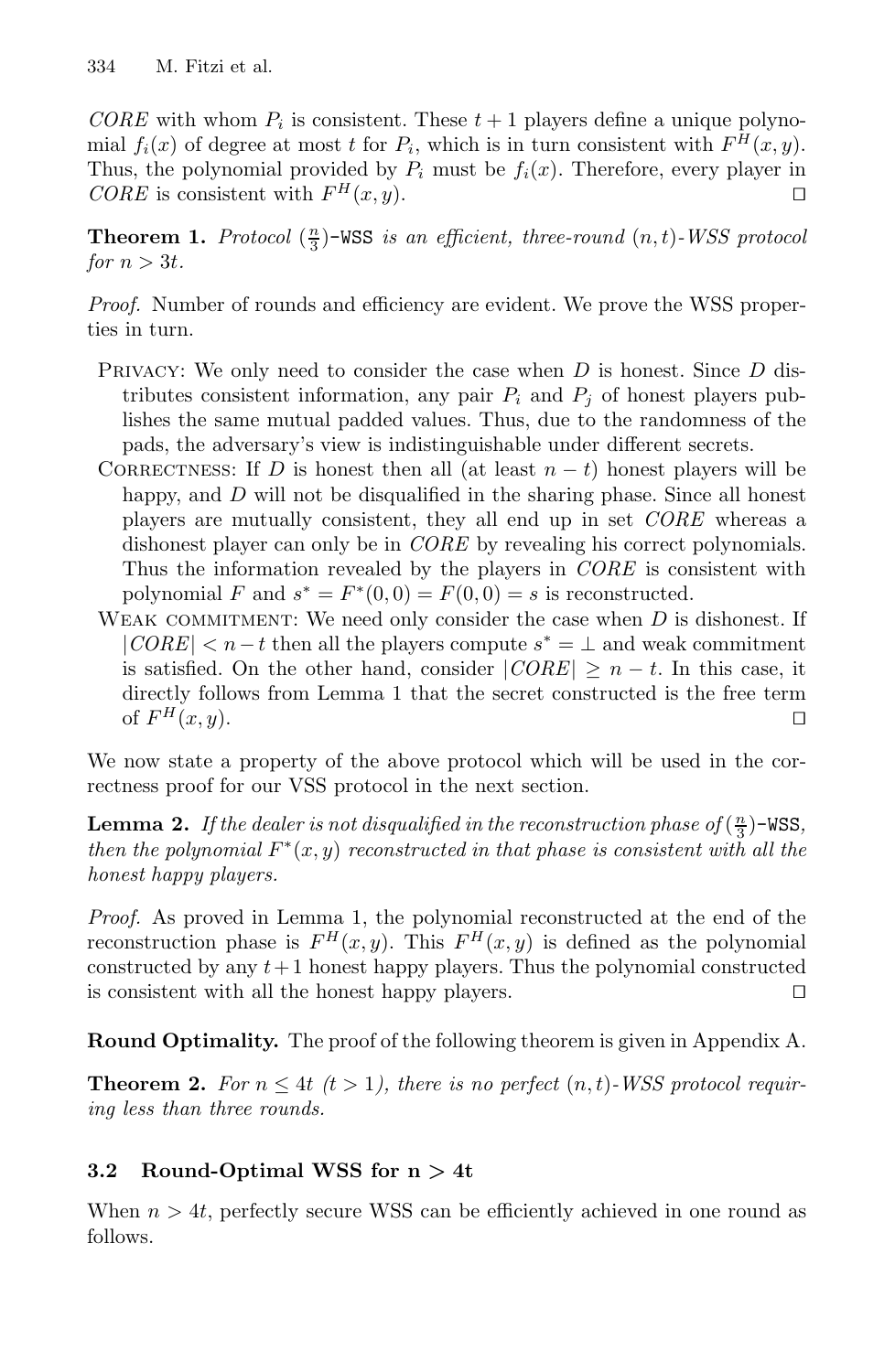*CORE* with whom  $P_i$  is consistent. These  $t + 1$  players define a unique polynomial  $f_i(x)$  of degree at most t for  $P_i$ , which is in turn consistent with  $F^H(x, y)$ . Thus, the polynomial provided by  $P_i$  must be  $f_i(x)$ . Therefore, every player in *CORE* is consistent with  $F^H(x, y)$ .

**Theorem 1.** *Protocol*  $(\frac{n}{3})$ -WSS *is an efficient, three-round*  $(n, t)$ -*WSS protocol for*  $n > 3t$ *.* 

*Proof.* Number of rounds and efficiency are evident. We prove the WSS properties in turn.

- PRIVACY: We only need to consider the case when  $D$  is honest. Since  $D$  distributes consistent information, any pair  $P_i$  and  $P_j$  of honest players publishes the same mutual padded values. Thus, due to the randomness of the pads, the adversary's view is indistinguishable under different secrets.
- CORRECTNESS: If D is honest then all (at least  $n t$ ) honest players will be happy, and D will not be disqualified in the sharing phase. Since all honest players are mutually consistent, they all end up in set *CORE* whereas a dishonest player can only be in *CORE* by revealing his correct polynomials. Thus the information revealed by the players in *CORE* is consistent with polynomial F and  $s^* = F^*(0, 0) = F(0, 0) = s$  is reconstructed.
- WEAK COMMITMENT: We need only consider the case when  $D$  is dishonest. If  $|CORE| < n-t$  then all the players compute  $s^* = \perp$  and weak commitment is satisfied. On the other hand, consider  $|CORE| \ge n - t$ . In this case, it directly follows from Lemma 1 that the secret constructed is the free term of  $F^H(x, y)$ .

We now state a property of the above protocol which will be used in the correctness proof for our VSS protocol in the next section.

**Lemma 2.** If the dealer is not disqualified in the reconstruction phase of  $(\frac{n}{3})$ -WSS, *then the polynomial*  $F^*(x, y)$  *reconstructed in that phase is consistent with all the honest happy players.*

*Proof.* As proved in Lemma 1, the polynomial reconstructed at the end of the reconstruction phase is  $F^H(x, y)$ . This  $F^H(x, y)$  is defined as the polynomial constructed by any  $t+1$  honest happy players. Thus the polynomial constructed is consistent with all the honest happy players.

**Round Optimality.** The proof of the following theorem is given in Appendix A.

**Theorem 2.** For  $n \leq 4t$   $(t > 1)$ , there is no perfect  $(n, t)$ -WSS protocol requir*ing less than three rounds.*

## **3.2 Round-Optimal WSS for n** *>* **4t**

When  $n > 4t$ , perfectly secure WSS can be efficiently achieved in one round as follows.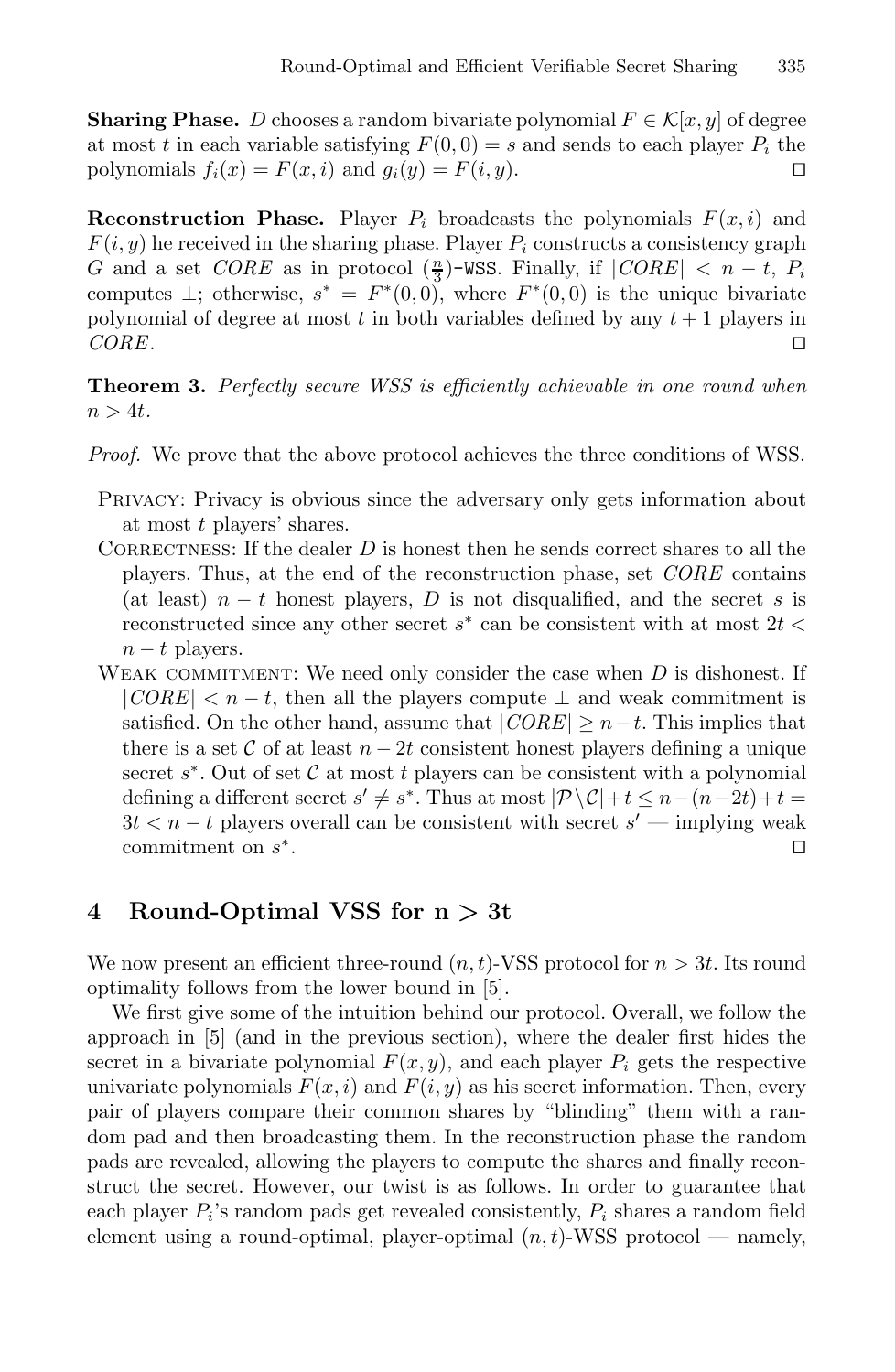**Sharing Phase.** D chooses a random bivariate polynomial  $F \in \mathcal{K}[x, y]$  of degree at most t in each variable satisfying  $F(0, 0) = s$  and sends to each player  $P_i$  the polynomials  $f_i(x) = F(x, i)$  and  $g_i(y) = F(i, y)$ .

**Reconstruction Phase.** Player  $P_i$  broadcasts the polynomials  $F(x, i)$  and  $F(i, y)$  he received in the sharing phase. Player  $P_i$  constructs a consistency graph G and a set *CORE* as in protocol  $(\frac{n}{3})$ -WSS. Finally, if  $|CORE| < n - t$ ,  $P_i$ computes  $\perp$ ; otherwise,  $s^* = F^*(0,0)$ , where  $F^*(0,0)$  is the unique bivariate polynomial of degree at most t in both variables defined by any  $t + 1$  players in *CORE*.

**Theorem 3.** *Perfectly secure WSS is efficiently achievable in one round when*  $n > 4t$ .

- *Proof.* We prove that the above protocol achieves the three conditions of WSS.
- Privacy: Privacy is obvious since the adversary only gets information about at most t players' shares.
- CORRECTNESS: If the dealer  $D$  is honest then he sends correct shares to all the players. Thus, at the end of the reconstruction phase, set *CORE* contains (at least)  $n - t$  honest players, D is not disqualified, and the secret s is reconstructed since any other secret  $s^*$  can be consistent with at most  $2t <$  $n - t$  players.
- WEAK COMMITMENT: We need only consider the case when  $D$  is dishonest. If  $|CORE| < n - t$ , then all the players compute  $\perp$  and weak commitment is satisfied. On the other hand, assume that  $|CORE| \ge n-t$ . This implies that there is a set C of at least  $n-2t$  consistent honest players defining a unique secret  $s^*$ . Out of set C at most t players can be consistent with a polynomial defining a different secret  $s' \neq s^*$ . Thus at most  $|\mathcal{P} \backslash \mathcal{C}|+t \leq n-(n-2t)+t =$  $3t < n-t$  players overall can be consistent with secret  $s'$  — implying weak commitment on  $s^*$ . commitment on  $s^*$ .

## **4 Round-Optimal VSS for n** *>* **3t**

We now present an efficient three-round  $(n, t)$ -VSS protocol for  $n > 3t$ . Its round optimality follows from the lower bound in [5].

We first give some of the intuition behind our protocol. Overall, we follow the approach in [5] (and in the previous section), where the dealer first hides the secret in a bivariate polynomial  $F(x, y)$ , and each player  $P_i$  gets the respective univariate polynomials  $F(x, i)$  and  $F(i, y)$  as his secret information. Then, every pair of players compare their common shares by "blinding" them with a random pad and then broadcasting them. In the reconstruction phase the random pads are revealed, allowing the players to compute the shares and finally reconstruct the secret. However, our twist is as follows. In order to guarantee that each player  $P_i$ 's random pads get revealed consistently,  $P_i$  shares a random field element using a round-optimal, player-optimal  $(n, t)$ -WSS protocol — namely,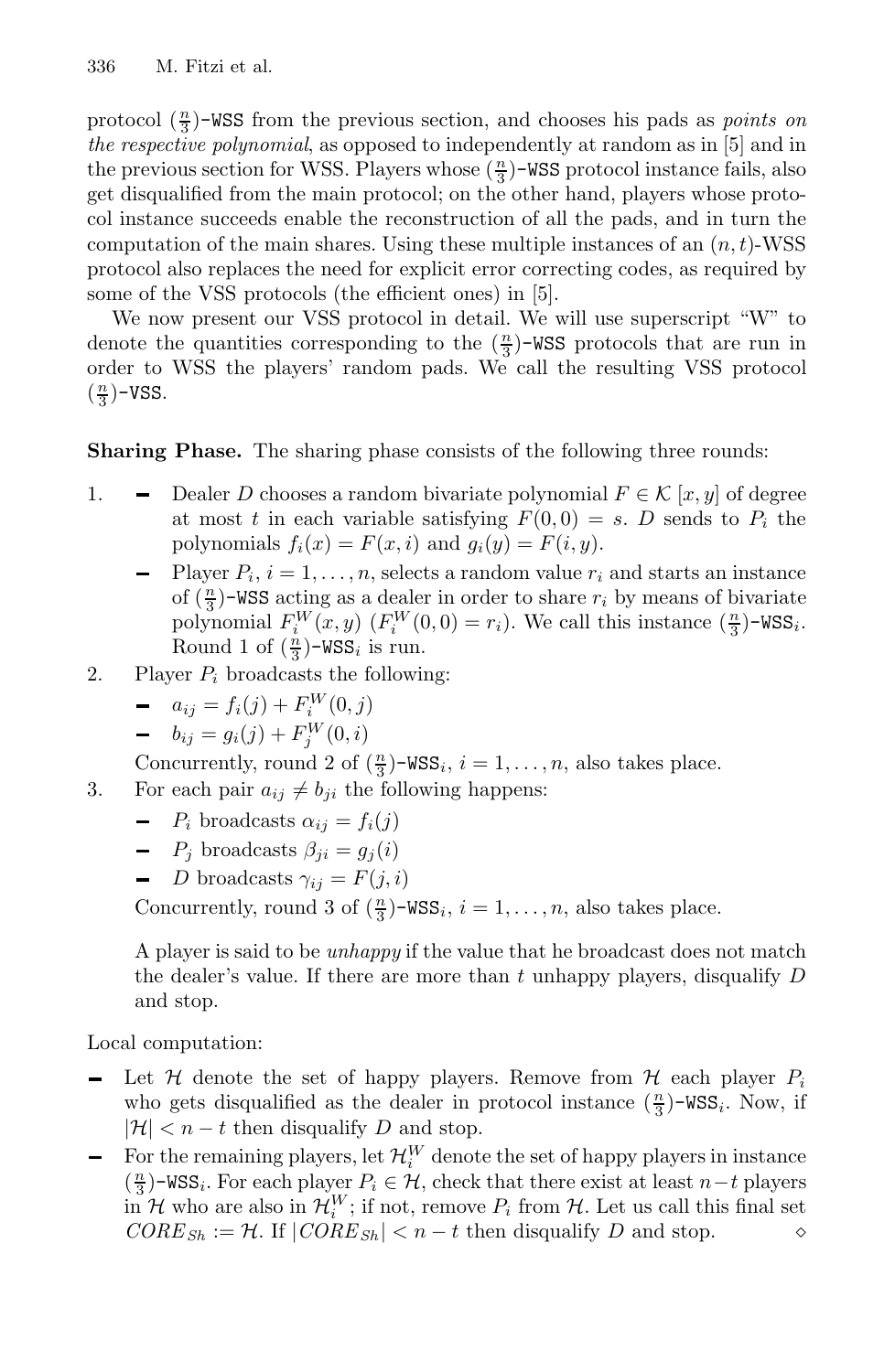protocol  $(\frac{n}{3})$ -WSS from the previous section, and chooses his pads as *points on the respective polynomial*, as opposed to independently at random as in [5] and in the previous section for WSS. Players whose  $(\frac{n}{3})$ -WSS protocol instance fails, also get disqualified from the main protocol; on the other hand, players whose protocol instance succeeds enable the reconstruction of all the pads, and in turn the computation of the main shares. Using these multiple instances of an  $(n, t)$ -WSS protocol also replaces the need for explicit error correcting codes, as required by some of the VSS protocols (the efficient ones) in [5].

We now present our VSS protocol in detail. We will use superscript "W" to denote the quantities corresponding to the  $(\frac{n}{3})$ -WSS protocols that are run in order to WSS the players' random pads. We call the resulting VSS protocol  $(\frac{n}{3})$ -VSS.

#### **Sharing Phase.** The sharing phase consists of the following three rounds:

- 1.  $\blacksquare$  Dealer D chooses a random bivariate polynomial  $F \in \mathcal{K}[x, y]$  of degree at most t in each variable satisfying  $F(0,0) = s$ . D sends to  $P_i$  the polynomials  $f_i(x) = F(x, i)$  and  $g_i(y) = F(i, y)$ .
	- Player  $P_i$ ,  $i = 1, ..., n$ , selects a random value  $r_i$  and starts an instance of  $(\frac{n}{3})$ -WSS acting as a dealer in order to share  $r_i$  by means of bivariate polynomial  $F_i^W(x, y)$   $(F_i^W(0, 0) = r_i)$ . We call this instance  $(\frac{n}{3})$ -WSS<sub>i</sub>. Round 1 of  $(\frac{n}{3})$ -WSS<sub>i</sub> is run.
- 2. Player  $P_i$  broadcasts the following:
	- $a_{ij} = f_i(j) + F_i^W(0, j)$
	- $b_{ij} = g_i(j) + F_j^W(0, i)$

Concurrently, round 2 of  $(\frac{n}{3})$ -WSS<sub>i</sub>,  $i = 1, ..., n$ , also takes place.

3. For each pair  $a_{ij} \neq b_{ji}$  the following happens:

- $-P_i$  broadcasts  $\alpha_{ij} = f_i(j)$
- $-P_j$  broadcasts  $\beta_{ji} = g_j(i)$
- D broadcasts  $\gamma_{ij} = F(j, i)$

Concurrently, round 3 of  $(\frac{n}{3})$ -WSS<sub>i</sub>,  $i = 1, ..., n$ , also takes place.

A player is said to be *unhappy* if the value that he broadcast does not match the dealer's value. If there are more than t unhappy players, disqualify  $D$ and stop.

Local computation:

- Let H denote the set of happy players. Remove from H each player  $P_i$ who gets disqualified as the dealer in protocol instance  $(\frac{n}{3})$ -WSS<sub>i</sub>. Now, if  $|\mathcal{H}| < n - t$  then disqualify D and stop.
- For the remaining players, let  $\mathcal{H}_i^W$  denote the set of happy players in instance  $(\frac{n}{3})$ -WSS<sub>i</sub>. For each player  $P_i \in \mathcal{H}$ , check that there exist at least n−t players in H who are also in  $\mathcal{H}_i^W$ ; if not, remove  $P_i$  from H. Let us call this final set  $CORE_{Sh} := \mathcal{H}$ . If  $|CORE_{Sh}| < n - t$  then disqualify D and stop.  $\diamond$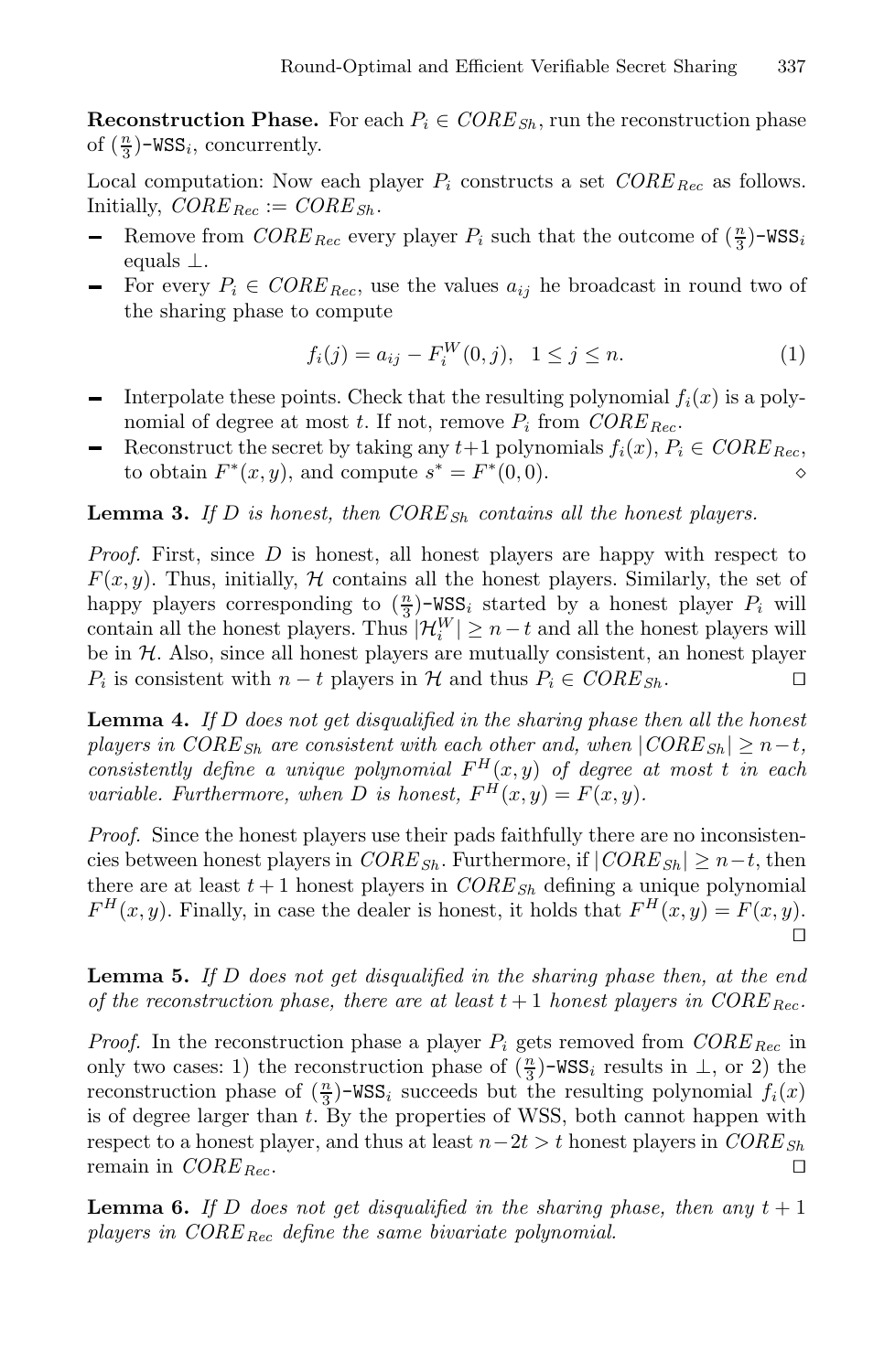**Reconstruction Phase.** For each  $P_i \in \text{CORE}_{\text{Sh}}$ , run the reconstruction phase of  $(\frac{n}{3})$ -WSS<sub>i</sub>, concurrently.

Local computation: Now each player  $P_i$  constructs a set  $CORE_{Rec}$  as follows. Initially,  $CORE_{Rec} := CORE_{Sh}$ .

- Remove from  $\textit{CORE}_{\textit{Rec}}$  every player  $P_i$  such that the outcome of  $(\frac{n}{3})$ -WSS<sub>i</sub> equals ⊥.
- For every  $P_i \in \mathit{CORE}_{\mathit{Rec}}$ , use the values  $a_{ij}$  he broadcast in round two of the sharing phase to compute

$$
f_i(j) = a_{ij} - F_i^W(0, j), \quad 1 \le j \le n.
$$
 (1)

- Interpolate these points. Check that the resulting polynomial  $f_i(x)$  is a polynomial of degree at most t. If not, remove  $P_i$  from  $CORE_{Rec}$ .
- Reconstruct the secret by taking any  $t+1$  polynomials  $f_i(x)$ ,  $P_i \in \mathit{CORE}_{\mathit{Rec}}$ , to obtain  $F^*(x, y)$ , and compute  $s^* = F^*(0, 0)$ .

**Lemma 3.** If D is honest, then  $CORE_{Sh}$  contains all the honest players.

*Proof.* First, since D is honest, all honest players are happy with respect to  $F(x, y)$ . Thus, initially, H contains all the honest players. Similarly, the set of happy players corresponding to  $(\frac{n}{3})$ -WSS<sub>i</sub> started by a honest player  $P_i$  will contain all the honest players. Thus  $|\mathcal{H}_i^W| \ge n-t$  and all the honest players will be in H. Also, since all honest players are mutually consistent, an honest player  $P_i$  is consistent with  $n-t$  players in H and thus  $P_i \in CORE_{Sh}$ .  $P_i$  is consistent with  $n - t$  players in  $H$  and thus  $P_i \in \mathit{CORE}_{\mathit{Sh}}$ .

**Lemma 4.** *If* D *does not get disqualified in the sharing phase then all the honest players in CORE*<sub>Sh</sub> are consistent with each other and, when  $|CORE_{Sh}| \geq n-t$ , *consistently define a unique polynomial*  $F^H(x, y)$  *of degree at most t in each variable. Furthermore, when D is honest,*  $F^H(x, y) = F(x, y)$ *.* 

*Proof.* Since the honest players use their pads faithfully there are no inconsistencies between honest players in  $CORE_{Sh}$ . Furthermore, if  $|CORE_{Sh}| \geq n-t$ , then there are at least  $t + 1$  honest players in  $CORE_{Sh}$  defining a unique polynomial  $F^H(x, y)$ . Finally, in case the dealer is honest, it holds that  $F^H(x, y) = F(x, y)$ .  $\Box$ 

**Lemma 5.** *If* D *does not get disqualified in the sharing phase then, at the end of the reconstruction phase, there are at least*  $t + 1$  *honest players in CORE*  $_{Rec}$ .

*Proof.* In the reconstruction phase a player  $P_i$  gets removed from  $CORE_{Rec}$  in only two cases: 1) the reconstruction phase of  $(\frac{n}{3})$ -WSS<sub>i</sub> results in  $\perp$ , or 2) the reconstruction phase of  $(\frac{n}{3})$ -WSS<sub>i</sub> succeeds but the resulting polynomial  $f_i(x)$ is of degree larger than  $t$ . By the properties of WSS, both cannot happen with respect to a honest player, and thus at least  $n-2t>t$  honest players in  $CORE_{Sh}$ <br>remain in  $CORE_{Pec}$ . remain in *CORE* <sub>Rec</sub>.

**Lemma 6.** If D does not get disqualified in the sharing phase, then any  $t + 1$ *players in CORE* Rec *define the same bivariate polynomial.*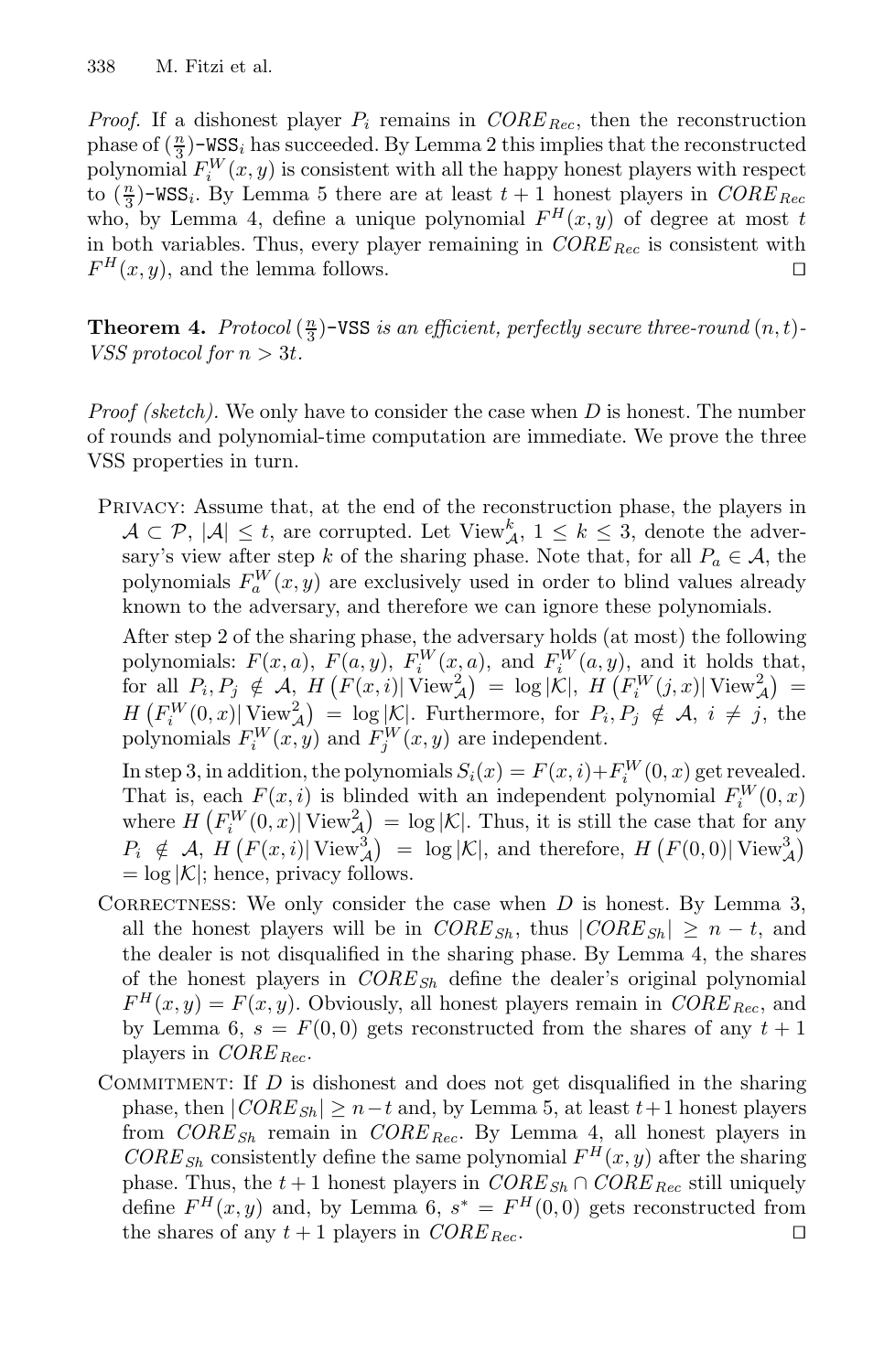*Proof.* If a dishonest player  $P_i$  remains in  $CORE_{Rec}$ , then the reconstruction phase of  $(\frac{n}{3})$ -WSS<sub>i</sub> has succeeded. By Lemma 2 this implies that the reconstructed polynomial  $F_i^W(x, y)$  is consistent with all the happy honest players with respect to  $(\frac{n}{3})$ -WSS<sub>i</sub>. By Lemma 5 there are at least  $t + 1$  honest players in *CORE* Rec who, by Lemma 4, define a unique polynomial  $F^H(x, y)$  of degree at most t in both variables. Thus, every player remaining in  $CORE_{Rec}$  is consistent with  $F^H(x, y)$ , and the lemma follows.

**Theorem 4.** *Protocol*  $(\frac{n}{3})$ -VSS *is an efficient, perfectly secure three-round*  $(n, t)$ -*VSS* protocol for  $n > 3t$ .

*Proof (sketch).* We only have to consider the case when D is honest. The number of rounds and polynomial-time computation are immediate. We prove the three VSS properties in turn.

Privacy: Assume that, at the end of the reconstruction phase, the players in  $\mathcal{A} \subset \mathcal{P}, |\mathcal{A}| \leq t$ , are corrupted. Let View<sup>k</sup>,  $1 \leq k \leq 3$ , denote the adversary's view after step k of the sharing phase. Note that, for all  $P_a \in \mathcal{A}$ , the polynomials  $F_a^W(x, y)$  are exclusively used in order to blind values already known to the adversary, and therefore we can ignore these polynomials.

After step 2 of the sharing phase, the adversary holds (at most) the following polynomials:  $F(x, a)$ ,  $F(a, y)$ ,  $F_i^W(x, a)$ , and  $F_i^W(a, y)$ , and it holds that,  $\int$  for all  $P_i, P_j \notin \mathcal{A}, H(F(x,i)|\overline{\text{View}}_A^2) = \log |\mathcal{K}|, H(F_i^W(j,x)|\overline{\text{View}}_A^2) =$  $H\left(F_i^W(0,x)\middle|\right.\underline{\text{View}}_A^2\right) = \log|\mathcal{K}|.$  Furthermore, for  $P_i, P_j \notin \mathcal{A}, i \neq j$ , the polynomials  $F_i^W(x, y)$  and  $F_j^W(x, y)$  are independent.

In step 3, in addition, the polynomials  $S_i(x) = F(x, i) + F_i^W(0, x)$  get revealed. That is, each  $F(x, i)$  is blinded with an independent polynomial  $F_i^W(0, x)$ where  $H\left(F_i^W(0,x)|\operatorname{View}_{\mathcal{A}}^2\right) = \log |\mathcal{K}|$ . Thus, it is still the case that for any  $P_i \notin A$ ,  $H(F(x, i)| \text{View}_{\mathcal{A}}^3) = \log |\mathcal{K}|$ , and therefore,  $H(F(0, 0)| \text{View}_{\mathcal{A}}^3)$  $=$  log  $|\mathcal{K}|$ ; hence, privacy follows.

- CORRECTNESS: We only consider the case when  $D$  is honest. By Lemma 3, all the honest players will be in  $CORE_{Sh}$ , thus  $|CORE_{Sh}| \geq n - t$ , and the dealer is not disqualified in the sharing phase. By Lemma 4, the shares of the honest players in  $CORE_{Sh}$  define the dealer's original polynomial  $F<sup>H</sup>(x, y) = F(x, y)$ . Obviously, all honest players remain in *CORE* <sub>Rec</sub>, and by Lemma 6,  $s = F(0,0)$  gets reconstructed from the shares of any  $t + 1$ players in *CORE* <sub>Rec</sub>.
- COMMITMENT: If  $D$  is dishonest and does not get disqualified in the sharing phase, then  $|CORE_{Sh}| \geq n-t$  and, by Lemma 5, at least  $t+1$  honest players from *CORE*<sub>Sh</sub> remain in *CORE*<sub>Rec</sub>. By Lemma 4, all honest players in  $CORE_{Sh}$  consistently define the same polynomial  $F^H(x, y)$  after the sharing phase. Thus, the  $t + 1$  honest players in  $CORE_{Sh} \cap CORE_{Rec}$  still uniquely define  $F^H(x, y)$  and, by Lemma 6,  $s^* = F^H(0, 0)$  gets reconstructed from the shares of any  $t + 1$  players in  $CORE_{Rec}$ .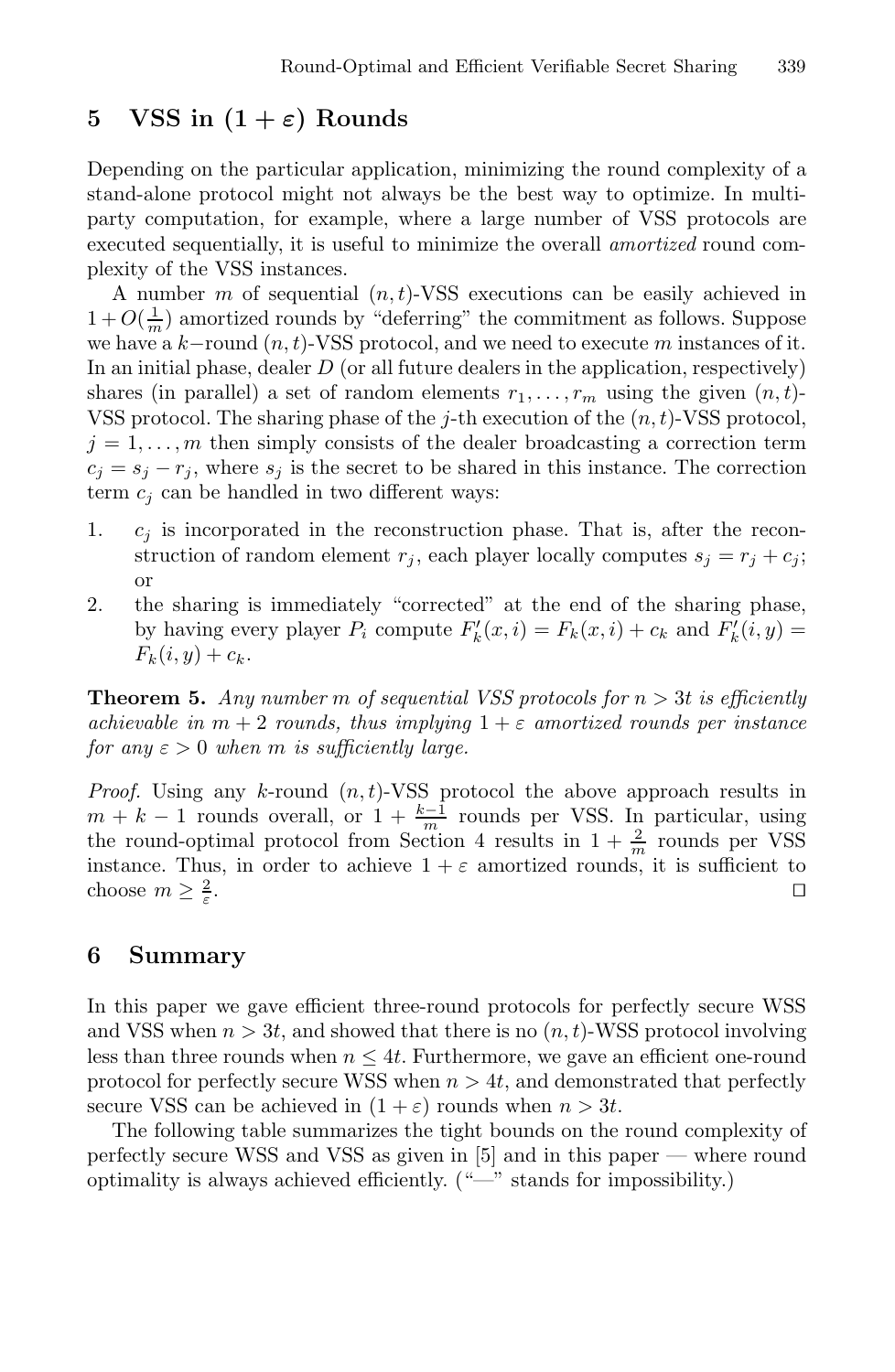## **5 VSS** in  $(1 + \varepsilon)$  Rounds

Depending on the particular application, minimizing the round complexity of a stand-alone protocol might not always be the best way to optimize. In multiparty computation, for example, where a large number of VSS protocols are executed sequentially, it is useful to minimize the overall *amortized* round complexity of the VSS instances.

A number m of sequential  $(n, t)$ -VSS executions can be easily achieved in  $1 + O(\frac{1}{m})$  amortized rounds by "deferring" the commitment as follows. Suppose we have a  $k$ -round  $(n, t)$ -VSS protocol, and we need to execute m instances of it. In an initial phase, dealer  $D$  (or all future dealers in the application, respectively) shares (in parallel) a set of random elements  $r_1, \ldots, r_m$  using the given  $(n, t)$ -VSS protocol. The sharing phase of the j-th execution of the  $(n, t)$ -VSS protocol,  $j = 1, \ldots, m$  then simply consists of the dealer broadcasting a correction term  $c_j = s_j - r_j$ , where  $s_j$  is the secret to be shared in this instance. The correction term  $c_i$  can be handled in two different ways:

- 1.  $c_i$  is incorporated in the reconstruction phase. That is, after the reconstruction of random element  $r_j$ , each player locally computes  $s_j = r_j + c_j$ ; or
- 2. the sharing is immediately "corrected" at the end of the sharing phase, by having every player  $P_i$  compute  $F'_k(x, i) = F_k(x, i) + c_k$  and  $F'_k(i, y) =$  $F_k(i, y) + c_k.$

**Theorem 5.** *Any number* m *of sequential VSS protocols for* n > 3t *is efficiently achievable in*  $m + 2$  *rounds, thus implying*  $1 + \varepsilon$  *amortized rounds per instance for any*  $\varepsilon > 0$  *when m is sufficiently large.* 

*Proof.* Using any k-round  $(n, t)$ -VSS protocol the above approach results in  $m + k - 1$  rounds overall, or  $1 + \frac{k-1}{m}$  rounds per VSS. In particular, using the round-optimal protocol from Section 4 results in  $1 + \frac{2}{m}$  rounds per VSS instance. Thus, in order to achieve  $1 + \varepsilon$  amortized rounds, it is sufficient to choose  $m \geq \frac{2}{s}$ .  $\frac{2}{\varepsilon}$ .

## **6 Summary**

In this paper we gave efficient three-round protocols for perfectly secure WSS and VSS when  $n > 3t$ , and showed that there is no  $(n, t)$ -WSS protocol involving less than three rounds when  $n \leq 4t$ . Furthermore, we gave an efficient one-round protocol for perfectly secure WSS when  $n > 4t$ , and demonstrated that perfectly secure VSS can be achieved in  $(1 + \varepsilon)$  rounds when  $n > 3t$ .

The following table summarizes the tight bounds on the round complexity of perfectly secure WSS and VSS as given in [5] and in this paper — where round optimality is always achieved efficiently. ("—" stands for impossibility.)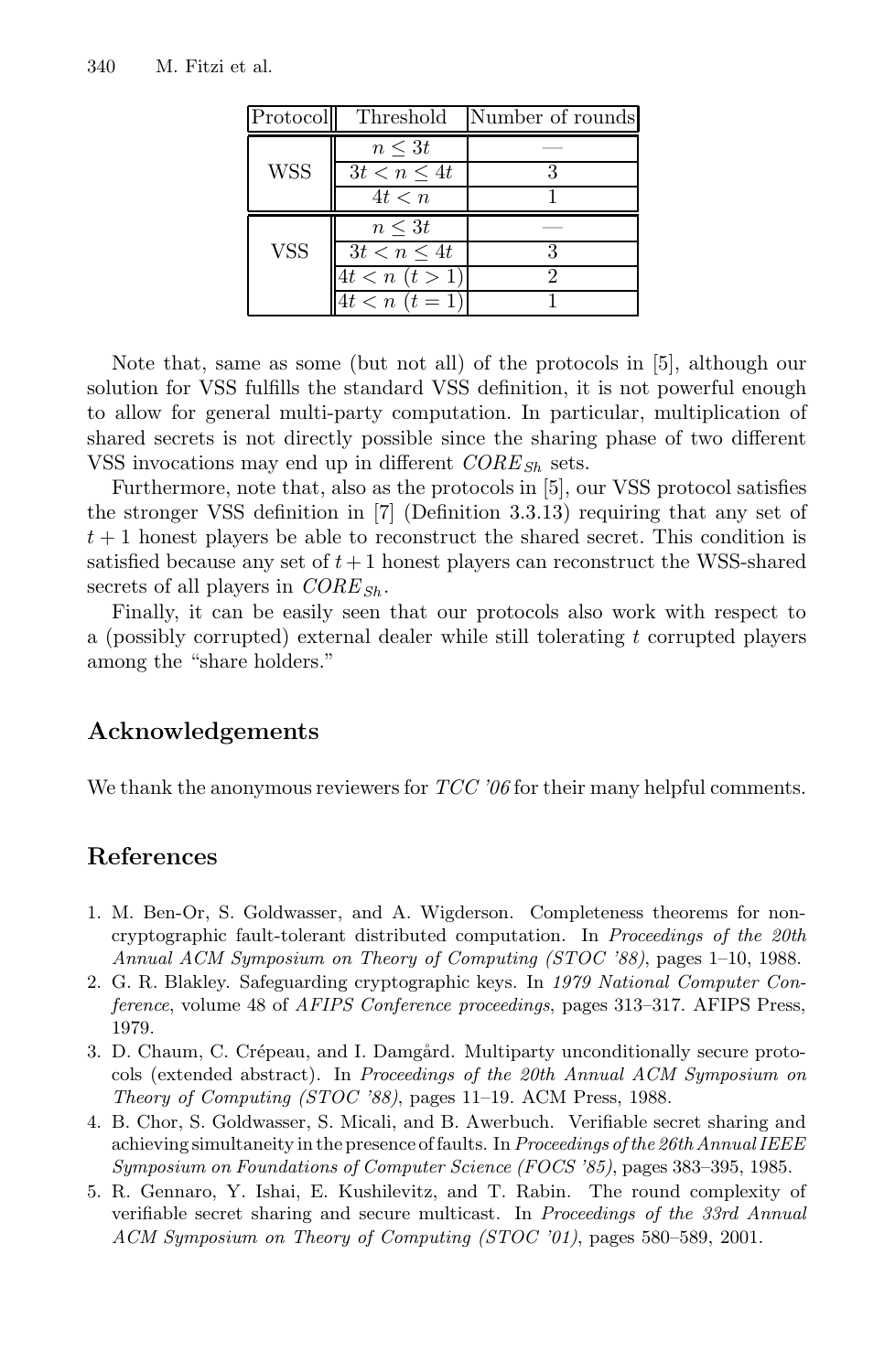| Protocol   |                    | Threshold Number of rounds |
|------------|--------------------|----------------------------|
|            | $n \leq 3t$        |                            |
| <b>WSS</b> | $3t < n \leq 4t$   |                            |
|            | 4t < n             |                            |
|            | $n \leq 3t$        |                            |
| <b>VSS</b> | $3t < n \leq 4t$   |                            |
|            | $4t < n \ (t > 1)$ |                            |
|            | $4t < n$ $(t = 1)$ |                            |

Note that, same as some (but not all) of the protocols in [5], although our solution for VSS fulfills the standard VSS definition, it is not powerful enough to allow for general multi-party computation. In particular, multiplication of shared secrets is not directly possible since the sharing phase of two different VSS invocations may end up in different  $CORE_{Sh}$  sets.

Furthermore, note that, also as the protocols in [5], our VSS protocol satisfies the stronger VSS definition in [7] (Definition 3.3.13) requiring that any set of  $t+1$  honest players be able to reconstruct the shared secret. This condition is satisfied because any set of  $t+1$  honest players can reconstruct the WSS-shared secrets of all players in  $CORE_{Sh}$ .

Finally, it can be easily seen that our protocols also work with respect to a (possibly corrupted) external dealer while still tolerating t corrupted players among the "share holders."

## **Acknowledgements**

We thank the anonymous reviewers for *TCC '06* for their many helpful comments.

## **References**

- 1. M. Ben-Or, S. Goldwasser, and A. Wigderson. Completeness theorems for noncryptographic fault-tolerant distributed computation. In Proceedings of the 20th Annual ACM Symposium on Theory of Computing (STOC '88), pages 1–10, 1988.
- 2. G. R. Blakley. Safeguarding cryptographic keys. In 1979 National Computer Conference, volume 48 of AFIPS Conference proceedings, pages 313–317. AFIPS Press, 1979.
- 3. D. Chaum, C. Crépeau, and I. Damgård. Multiparty unconditionally secure protocols (extended abstract). In Proceedings of the 20th Annual ACM Symposium on Theory of Computing (STOC '88), pages 11–19. ACM Press, 1988.
- 4. B. Chor, S. Goldwasser, S. Micali, and B. Awerbuch. Verifiable secret sharing and achieving simultaneity in the presence of faults. In Proceedings of the 26th Annual IEEE Symposium on Foundations of Computer Science (FOCS '85), pages 383–395, 1985.
- 5. R. Gennaro, Y. Ishai, E. Kushilevitz, and T. Rabin. The round complexity of verifiable secret sharing and secure multicast. In Proceedings of the 33rd Annual ACM Symposium on Theory of Computing (STOC '01), pages 580–589, 2001.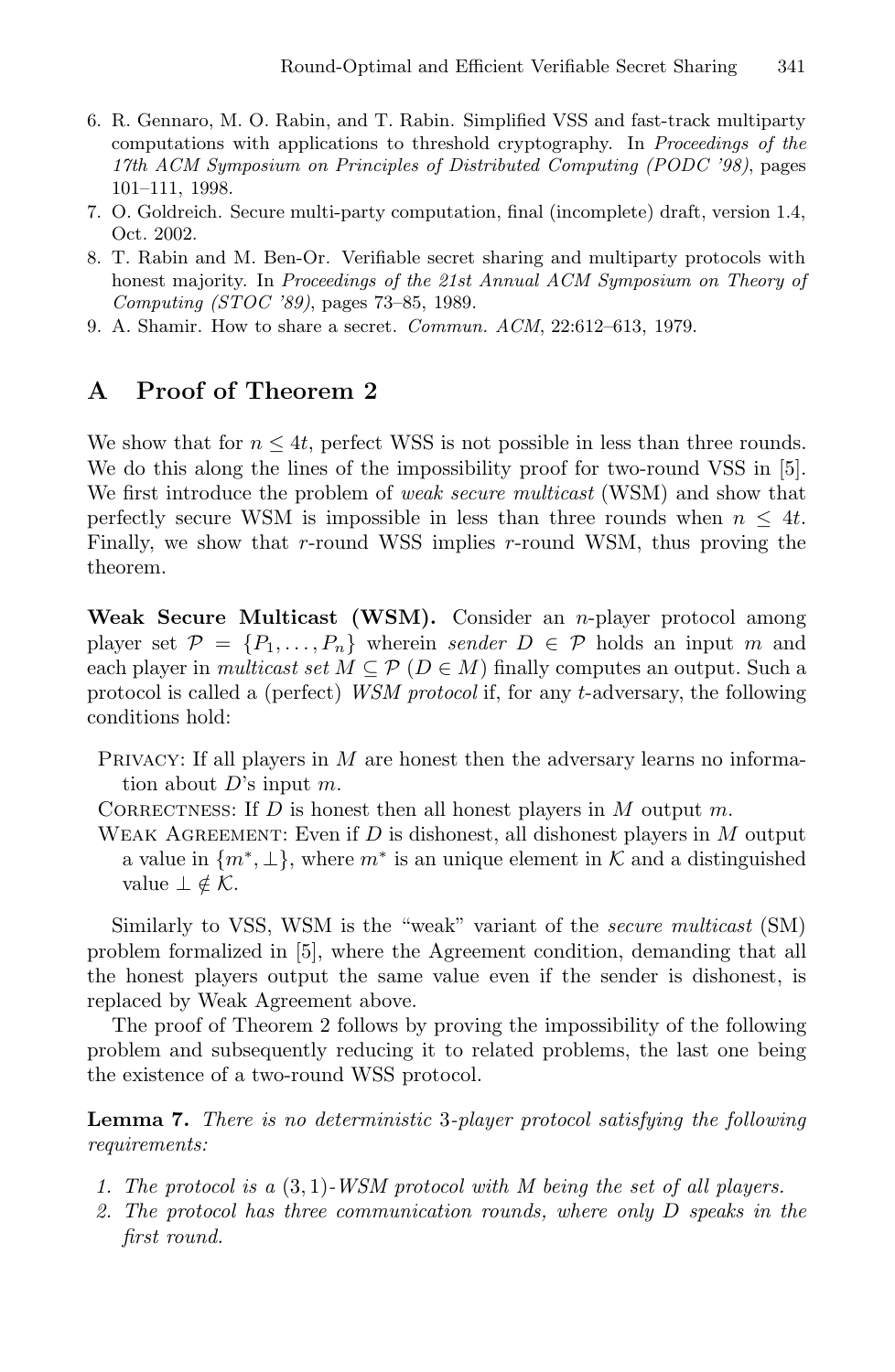- 6. R. Gennaro, M. O. Rabin, and T. Rabin. Simplified VSS and fast-track multiparty computations with applications to threshold cryptography. In Proceedings of the 17th ACM Symposium on Principles of Distributed Computing (PODC '98), pages 101–111, 1998.
- 7. O. Goldreich. Secure multi-party computation, final (incomplete) draft, version 1.4, Oct. 2002.
- 8. T. Rabin and M. Ben-Or. Verifiable secret sharing and multiparty protocols with honest majority. In Proceedings of the 21st Annual ACM Symposium on Theory of Computing (STOC '89), pages 73–85, 1989.
- 9. A. Shamir. How to share a secret. Commun. ACM, 22:612–613, 1979.

## **A Proof of Theorem 2**

We show that for  $n \leq 4t$ , perfect WSS is not possible in less than three rounds. We do this along the lines of the impossibility proof for two-round VSS in [5]. We first introduce the problem of *weak secure multicast* (WSM) and show that perfectly secure WSM is impossible in less than three rounds when  $n \leq 4t$ . Finally, we show that  $r$ -round WSS implies  $r$ -round WSM, thus proving the theorem.

Weak Secure Multicast (WSM). Consider an *n*-player protocol among player set  $\mathcal{P} = \{P_1, \ldots, P_n\}$  wherein *sender*  $D \in \mathcal{P}$  holds an input m and each player in *multicast set*  $M \subseteq \mathcal{P}$  ( $D \in M$ ) finally computes an output. Such a protocol is called a (perfect) *WSM protocol* if, for any t-adversary, the following conditions hold:

- PRIVACY: If all players in  $M$  are honest then the adversary learns no information about  $D$ 's input  $m$ .
- CORRECTNESS: If  $D$  is honest then all honest players in  $M$  output  $m$ .
- WEAK AGREEMENT: Even if  $D$  is dishonest, all dishonest players in  $M$  output a value in  $\{m^*, \perp\}$ , where  $m^*$  is an unique element in K and a distinguished value  $\bot \notin \mathcal{K}$ .

Similarly to VSS, WSM is the "weak" variant of the *secure multicast* (SM) problem formalized in [5], where the Agreement condition, demanding that all the honest players output the same value even if the sender is dishonest, is replaced by Weak Agreement above.

The proof of Theorem 2 follows by proving the impossibility of the following problem and subsequently reducing it to related problems, the last one being the existence of a two-round WSS protocol.

**Lemma 7.** *There is no deterministic* 3*-player protocol satisfying the following requirements:*

- *1. The protocol is a* (3, 1)*-WSM protocol with M being the set of all players.*
- *2. The protocol has three communication rounds, where only* D *speaks in the first round.*